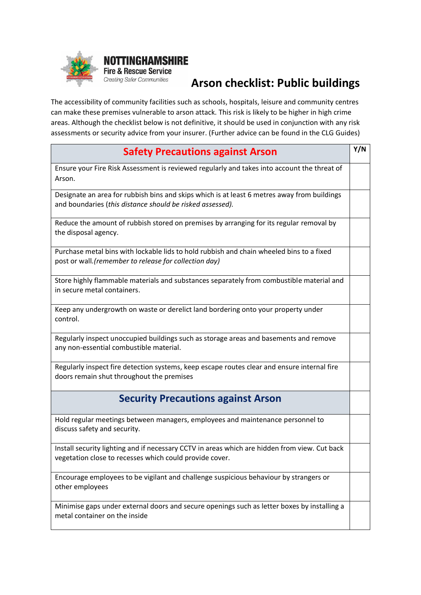

## **Arson checklist: Public buildings**

The accessibility of community facilities such as schools, hospitals, leisure and community centres can make these premises vulnerable to arson attack. This risk is likely to be higher in high crime areas. Although the checklist below is not definitive, it should be used in conjunction with any risk assessments or security advice from your insurer. (Further advice can be found in the CLG Guides)

| <b>Safety Precautions against Arson</b>                                                                                                                  | Y/N |
|----------------------------------------------------------------------------------------------------------------------------------------------------------|-----|
| Ensure your Fire Risk Assessment is reviewed regularly and takes into account the threat of<br>Arson.                                                    |     |
| Designate an area for rubbish bins and skips which is at least 6 metres away from buildings<br>and boundaries (this distance should be risked assessed). |     |
| Reduce the amount of rubbish stored on premises by arranging for its regular removal by<br>the disposal agency.                                          |     |
| Purchase metal bins with lockable lids to hold rubbish and chain wheeled bins to a fixed<br>post or wall. (remember to release for collection day)       |     |
| Store highly flammable materials and substances separately from combustible material and<br>in secure metal containers.                                  |     |
| Keep any undergrowth on waste or derelict land bordering onto your property under<br>control.                                                            |     |
| Regularly inspect unoccupied buildings such as storage areas and basements and remove<br>any non-essential combustible material.                         |     |
| Regularly inspect fire detection systems, keep escape routes clear and ensure internal fire<br>doors remain shut throughout the premises                 |     |
| <b>Security Precautions against Arson</b>                                                                                                                |     |
| Hold regular meetings between managers, employees and maintenance personnel to<br>discuss safety and security.                                           |     |
| Install security lighting and if necessary CCTV in areas which are hidden from view. Cut back<br>vegetation close to recesses which could provide cover. |     |
| Encourage employees to be vigilant and challenge suspicious behaviour by strangers or<br>other employees                                                 |     |
| Minimise gaps under external doors and secure openings such as letter boxes by installing a<br>metal container on the inside                             |     |